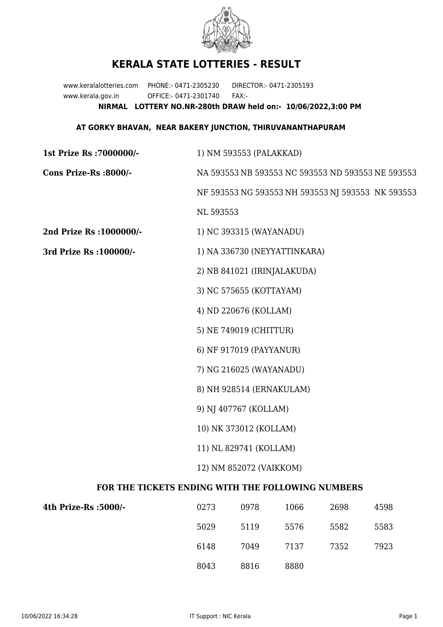

## **KERALA STATE LOTTERIES - RESULT**

www.keralalotteries.com PHONE:- 0471-2305230 DIRECTOR:- 0471-2305193 www.kerala.gov.in OFFICE:- 0471-2301740 FAX:- **NIRMAL LOTTERY NO.NR-280th DRAW held on:- 10/06/2022,3:00 PM**

## **AT GORKY BHAVAN, NEAR BAKERY JUNCTION, THIRUVANANTHAPURAM**

| 1) NM 593553 (PALAKKAD)                           |      |           |                                                                                                                                      |                                                   |  |  |
|---------------------------------------------------|------|-----------|--------------------------------------------------------------------------------------------------------------------------------------|---------------------------------------------------|--|--|
| NA 593553 NB 593553 NC 593553 ND 593553 NE 593553 |      |           |                                                                                                                                      |                                                   |  |  |
|                                                   |      |           |                                                                                                                                      |                                                   |  |  |
|                                                   |      |           |                                                                                                                                      |                                                   |  |  |
|                                                   |      |           |                                                                                                                                      |                                                   |  |  |
| 1) NA 336730 (NEYYATTINKARA)                      |      |           |                                                                                                                                      |                                                   |  |  |
|                                                   |      |           |                                                                                                                                      |                                                   |  |  |
| 3) NC 575655 (KOTTAYAM)                           |      |           |                                                                                                                                      |                                                   |  |  |
|                                                   |      |           |                                                                                                                                      |                                                   |  |  |
|                                                   |      |           |                                                                                                                                      |                                                   |  |  |
|                                                   |      |           |                                                                                                                                      |                                                   |  |  |
| 7) NG 216025 (WAYANADU)                           |      |           |                                                                                                                                      |                                                   |  |  |
| 8) NH 928514 (ERNAKULAM)                          |      |           |                                                                                                                                      |                                                   |  |  |
| 9) NJ 407767 (KOLLAM)                             |      |           |                                                                                                                                      |                                                   |  |  |
| 10) NK 373012 (KOLLAM)                            |      |           |                                                                                                                                      |                                                   |  |  |
| 11) NL 829741 (KOLLAM)                            |      |           |                                                                                                                                      |                                                   |  |  |
| 12) NM 852072 (VAIKKOM)                           |      |           |                                                                                                                                      |                                                   |  |  |
| FOR THE TICKETS ENDING WITH THE FOLLOWING NUMBERS |      |           |                                                                                                                                      |                                                   |  |  |
| 0273                                              | 0978 | 1066      | 2698                                                                                                                                 | 4598                                              |  |  |
|                                                   |      | NL 593553 | 1) NC 393315 (WAYANADU)<br>2) NB 841021 (IRINJALAKUDA)<br>4) ND 220676 (KOLLAM)<br>5) NE 749019 (CHITTUR)<br>6) NF 917019 (PAYYANUR) | NF 593553 NG 593553 NH 593553 NJ 593553 NK 593553 |  |  |

| -/lth Prize-Rs :5000 | 0273 | 0978 | 1066 | 2698 | 4598 |
|----------------------|------|------|------|------|------|
|                      | 5029 | 5119 | 5576 | 5582 | 5583 |
|                      | 6148 | 7049 | 7137 | 7352 | 7923 |
|                      | 8043 | 8816 | 8880 |      |      |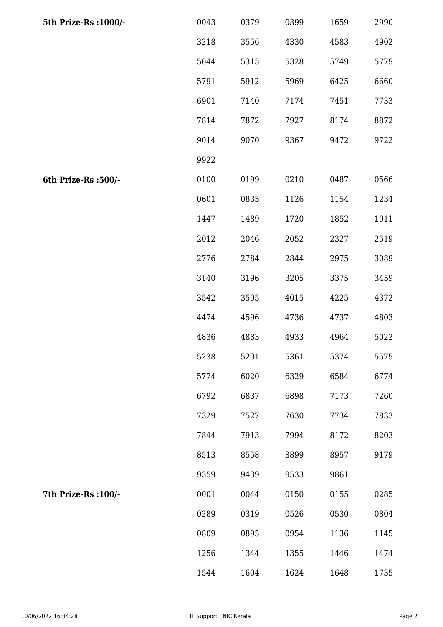| 5th Prize-Rs : 1000/- | 0043 | 0379 | 0399 | 1659 | 2990 |
|-----------------------|------|------|------|------|------|
|                       | 3218 | 3556 | 4330 | 4583 | 4902 |
|                       | 5044 | 5315 | 5328 | 5749 | 5779 |
|                       | 5791 | 5912 | 5969 | 6425 | 6660 |
|                       | 6901 | 7140 | 7174 | 7451 | 7733 |
|                       | 7814 | 7872 | 7927 | 8174 | 8872 |
|                       | 9014 | 9070 | 9367 | 9472 | 9722 |
|                       | 9922 |      |      |      |      |
| 6th Prize-Rs :500/-   | 0100 | 0199 | 0210 | 0487 | 0566 |
|                       | 0601 | 0835 | 1126 | 1154 | 1234 |
|                       | 1447 | 1489 | 1720 | 1852 | 1911 |
|                       | 2012 | 2046 | 2052 | 2327 | 2519 |
|                       | 2776 | 2784 | 2844 | 2975 | 3089 |
|                       | 3140 | 3196 | 3205 | 3375 | 3459 |
|                       | 3542 | 3595 | 4015 | 4225 | 4372 |
|                       | 4474 | 4596 | 4736 | 4737 | 4803 |
|                       | 4836 | 4883 | 4933 | 4964 | 5022 |
|                       | 5238 | 5291 | 5361 | 5374 | 5575 |
|                       | 5774 | 6020 | 6329 | 6584 | 6774 |
|                       | 6792 | 6837 | 6898 | 7173 | 7260 |
|                       | 7329 | 7527 | 7630 | 7734 | 7833 |
|                       | 7844 | 7913 | 7994 | 8172 | 8203 |
|                       | 8513 | 8558 | 8899 | 8957 | 9179 |
|                       | 9359 | 9439 | 9533 | 9861 |      |
| 7th Prize-Rs : 100/-  | 0001 | 0044 | 0150 | 0155 | 0285 |
|                       | 0289 | 0319 | 0526 | 0530 | 0804 |
|                       | 0809 | 0895 | 0954 | 1136 | 1145 |
|                       | 1256 | 1344 | 1355 | 1446 | 1474 |
|                       | 1544 | 1604 | 1624 | 1648 | 1735 |